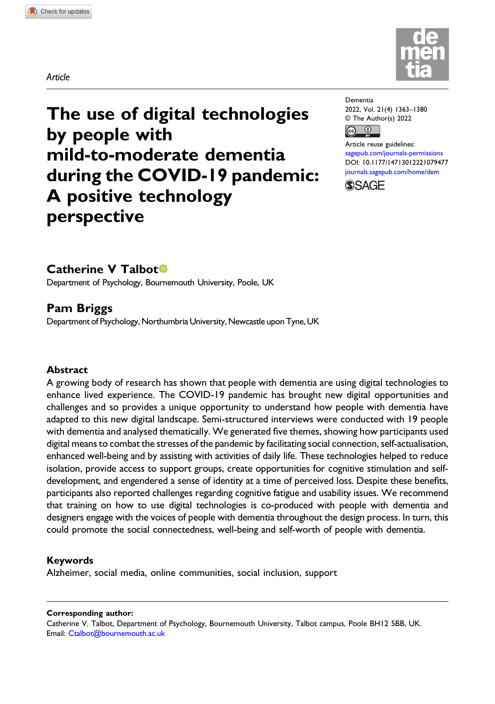



# The use of digital technologies by people with mild-to-moderate dementia during the COVID-19 pandemic: A positive technology perspective

| Dementia                                |  |  |  |  |  |
|-----------------------------------------|--|--|--|--|--|
| 2022, Vol. 21(4) 1363-1380              |  |  |  |  |  |
| © The Author(s) 2022                    |  |  |  |  |  |
| $\overline{(\mathfrak{c}\mathfrak{c})}$ |  |  |  |  |  |

Article reuse guidelines: [sagepub.com/journals-permissions](https://uk.sagepub.com/en-gb/journals-permissions) DOI: [10.1177/14713012221079477](https://doi.org/10.1177/14713012221079477) [journals.sagepub.com/home/dem](https://journals.sagepub.com/home/dem)



# Catherine V Talbot<sup>®</sup>

Department of Psychology, Bournemouth University, Poole, UK

# Pam Briggs

Department of Psychology, Northumbria University, Newcastle upon Tyne, UK

#### Abstract

A growing body of research has shown that people with dementia are using digital technologies to enhance lived experience. The COVID-19 pandemic has brought new digital opportunities and challenges and so provides a unique opportunity to understand how people with dementia have adapted to this new digital landscape. Semi-structured interviews were conducted with 19 people with dementia and analysed thematically. We generated five themes, showing how participants used digital means to combat the stresses of the pandemic by facilitating social connection, self-actualisation, enhanced well-being and by assisting with activities of daily life. These technologies helped to reduce isolation, provide access to support groups, create opportunities for cognitive stimulation and selfdevelopment, and engendered a sense of identity at a time of perceived loss. Despite these benefits, participants also reported challenges regarding cognitive fatigue and usability issues. We recommend that training on how to use digital technologies is co-produced with people with dementia and designers engage with the voices of people with dementia throughout the design process. In turn, this could promote the social connectedness, well-being and self-worth of people with dementia.

#### Keywords

Alzheimer, social media, online communities, social inclusion, support

#### Corresponding author:

Catherine V. Talbot, Department of Psychology, Bournemouth University, Talbot campus, Poole BH12 5BB, UK. Email: [Ctalbot@bournemouth.ac.uk](mailto:Ctalbot@bournemouth.ac.uk)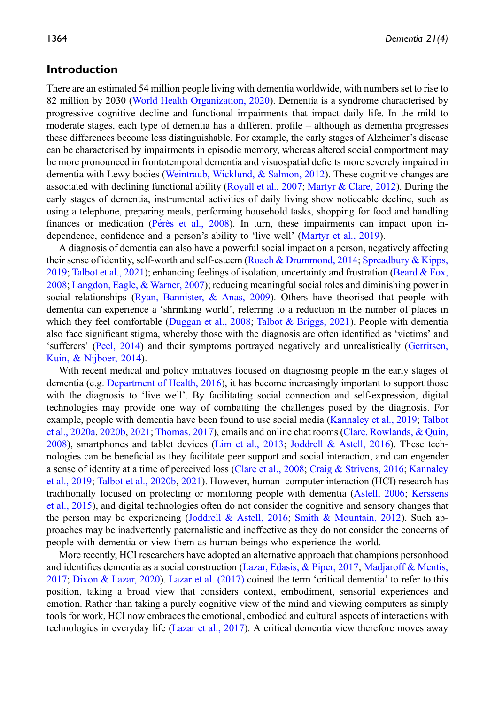# Introduction

There are an estimated 54 million people living with dementia worldwide, with numbers set to rise to 82 million by 2030 ([World Health Organization, 2020\)](#page-17-0). Dementia is a syndrome characterised by progressive cognitive decline and functional impairments that impact daily life. In the mild to moderate stages, each type of dementia has a different profile – although as dementia progresses these differences become less distinguishable. For example, the early stages of Alzheimer's disease can be characterised by impairments in episodic memory, whereas altered social comportment may be more pronounced in frontotemporal dementia and visuospatial deficits more severely impaired in dementia with Lewy bodies ([Weintraub, Wicklund, & Salmon, 2012](#page-17-1)). These cognitive changes are associated with declining functional ability [\(Royall et al., 2007](#page-16-0); [Martyr & Clare, 2012\)](#page-15-0). During the early stages of dementia, instrumental activities of daily living show noticeable decline, such as using a telephone, preparing meals, performing household tasks, shopping for food and handling finances or medication (Pérès et al., 2008). In turn, these impairments can impact upon independence, confidence and a person's ability to 'live well' [\(Martyr et al., 2019\)](#page-15-1).

A diagnosis of dementia can also have a powerful social impact on a person, negatively affecting their sense of identity, self-worth and self-esteem [\(Roach & Drummond, 2014](#page-16-2); [Spreadbury & Kipps,](#page-16-3) [2019](#page-16-3); [Talbot et al., 2021\)](#page-17-2); enhancing feelings of isolation, uncertainty and frustration [\(Beard & Fox,](#page-14-0) [2008](#page-14-0); [Langdon, Eagle, & Warner, 2007](#page-15-2)); reducing meaningful social roles and diminishing power in social relationships (Ryan, Bannister,  $\&$  Anas, 2009). Others have theorised that people with dementia can experience a 'shrinking world', referring to a reduction in the number of places in which they feel comfortable [\(Duggan et al., 2008](#page-14-1); [Talbot & Briggs, 2021\)](#page-16-5). People with dementia also face significant stigma, whereby those with the diagnosis are often identified as 'victims' and 'sufferers' [\(Peel, 2014\)](#page-16-6) and their symptoms portrayed negatively and unrealistically [\(Gerritsen,](#page-14-2) [Kuin, & Nijboer, 2014\)](#page-14-2).

With recent medical and policy initiatives focused on diagnosing people in the early stages of dementia (e.g. [Department of Health, 2016\)](#page-14-3), it has become increasingly important to support those with the diagnosis to 'live well'. By facilitating social connection and self-expression, digital technologies may provide one way of combatting the challenges posed by the diagnosis. For example, people with dementia have been found to use social media [\(Kannaley et al., 2019](#page-15-3); [Talbot](#page-16-7) [et al., 2020a,](#page-16-7) [2020b](#page-16-8), [2021;](#page-17-2) [Thomas, 2017\)](#page-17-3), emails and online chat rooms [\(Clare, Rowlands, & Quin,](#page-14-4) [2008](#page-14-4)), smartphones and tablet devices [\(Lim et al., 2013](#page-15-4); [Joddrell & Astell, 2016\)](#page-15-5). These technologies can be beneficial as they facilitate peer support and social interaction, and can engender a sense of identity at a time of perceived loss [\(Clare et al., 2008](#page-14-4); [Craig & Strivens, 2016](#page-14-5); [Kannaley](#page-15-3) [et al., 2019](#page-15-3); [Talbot et al., 2020b](#page-16-8), [2021](#page-17-2)). However, human–computer interaction (HCI) research has traditionally focused on protecting or monitoring people with dementia ([Astell, 2006](#page-14-6); [Kerssens](#page-15-6) [et al., 2015\)](#page-15-6), and digital technologies often do not consider the cognitive and sensory changes that the person may be experiencing ([Joddrell & Astell, 2016](#page-15-5); [Smith & Mountain, 2012\)](#page-16-9). Such approaches may be inadvertently paternalistic and ineffective as they do not consider the concerns of people with dementia or view them as human beings who experience the world.

More recently, HCI researchers have adopted an alternative approach that champions personhood and identifies dementia as a social construction [\(Lazar, Edasis, & Piper, 2017](#page-15-7); [Madjaroff & Mentis,](#page-15-8) [2017](#page-15-8); [Dixon & Lazar, 2020\)](#page-14-7). [Lazar et al. \(2017\)](#page-15-7) coined the term 'critical dementia' to refer to this position, taking a broad view that considers context, embodiment, sensorial experiences and emotion. Rather than taking a purely cognitive view of the mind and viewing computers as simply tools for work, HCI now embraces the emotional, embodied and cultural aspects of interactions with technologies in everyday life ([Lazar et al., 2017\)](#page-15-7). A critical dementia view therefore moves away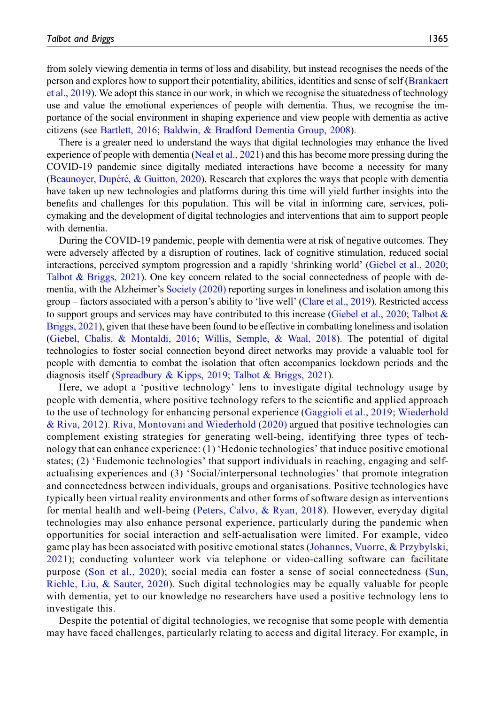from solely viewing dementia in terms of loss and disability, but instead recognises the needs of the person and explores how to support their potentiality, abilities, identities and sense of self ([Brankaert](#page-14-8) [et al., 2019\)](#page-14-8). We adopt this stance in our work, in which we recognise the situatedness of technology use and value the emotional experiences of people with dementia. Thus, we recognise the importance of the social environment in shaping experience and view people with dementia as active citizens (see [Bartlett, 2016](#page-14-9); [Baldwin, & Bradford Dementia Group, 2008](#page-14-10)).

There is a greater need to understand the ways that digital technologies may enhance the lived experience of people with dementia ([Neal et al., 2021](#page-15-9)) and this has become more pressing during the COVID-19 pandemic since digitally mediated interactions have become a necessity for many ([Beaunoyer, Dup](#page-14-11)é[r](#page-14-11)é, & Guitton, 2020). Research that explores the ways that people with dementia have taken up new technologies and platforms during this time will yield further insights into the benefits and challenges for this population. This will be vital in informing care, services, policymaking and the development of digital technologies and interventions that aim to support people with dementia.

During the COVID-19 pandemic, people with dementia were at risk of negative outcomes. They were adversely affected by a disruption of routines, lack of cognitive stimulation, reduced social interactions, perceived symptom progression and a rapidly 'shrinking world' [\(Giebel et al., 2020;](#page-14-12) [Talbot & Briggs, 2021](#page-16-5)). One key concern related to the social connectedness of people with dementia, with the Alzheimer's [Society \(2020\)](#page-13-0) reporting surges in loneliness and isolation among this group – factors associated with a person's ability to 'live well' [\(Clare et al., 2019](#page-14-13)). Restricted access to support groups and services may have contributed to this increase ([Giebel et al., 2020;](#page-14-12) [Talbot &](#page-16-5) [Briggs, 2021](#page-16-5)), given that these have been found to be effective in combatting loneliness and isolation ([Giebel, Chalis, & Montaldi, 2016;](#page-14-14) [Willis, Semple, & Waal, 2018\)](#page-17-4). The potential of digital technologies to foster social connection beyond direct networks may provide a valuable tool for people with dementia to combat the isolation that often accompanies lockdown periods and the diagnosis itself [\(Spreadbury & Kipps, 2019;](#page-16-3) [Talbot & Briggs, 2021](#page-16-5)).

Here, we adopt a 'positive technology' lens to investigate digital technology usage by people with dementia, where positive technology refers to the scientific and applied approach to the use of technology for enhancing personal experience ([Gaggioli et al., 2019](#page-14-15); [Wiederhold](#page-17-5) [& Riva, 2012](#page-17-5)). [Riva, Montovani and Wiederhold \(2020\)](#page-16-10) argued that positive technologies can complement existing strategies for generating well-being, identifying three types of technology that can enhance experience: (1) 'Hedonic technologies' that induce positive emotional states; (2) 'Eudemonic technologies' that support individuals in reaching, engaging and selfactualising experiences and (3) 'Social/interpersonal technologies' that promote integration and connectedness between individuals, groups and organisations. Positive technologies have typically been virtual reality environments and other forms of software design as interventions for mental health and well-being ([Peters, Calvo, & Ryan, 2018](#page-16-11)). However, everyday digital technologies may also enhance personal experience, particularly during the pandemic when opportunities for social interaction and self-actualisation were limited. For example, video game play has been associated with positive emotional states ([Johannes, Vuorre, & Przybylski,](#page-15-10) [2021](#page-15-10)); conducting volunteer work via telephone or video-calling software can facilitate purpose ([Son et al., 2020\)](#page-16-12); social media can foster a sense of social connectedness ([Sun,](#page-16-13) [Rieble, Liu, & Sauter, 2020](#page-16-13)). Such digital technologies may be equally valuable for people with dementia, yet to our knowledge no researchers have used a positive technology lens to investigate this.

Despite the potential of digital technologies, we recognise that some people with dementia may have faced challenges, particularly relating to access and digital literacy. For example, in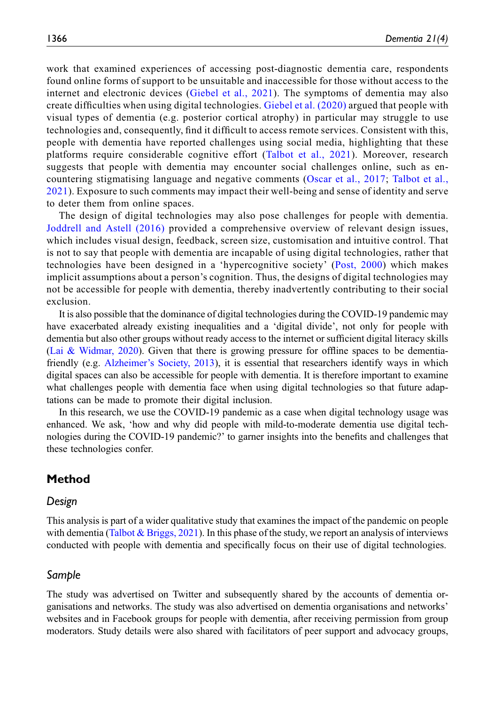work that examined experiences of accessing post-diagnostic dementia care, respondents found online forms of support to be unsuitable and inaccessible for those without access to the internet and electronic devices ([Giebel et al., 2021](#page-14-16)). The symptoms of dementia may also create difficulties when using digital technologies. [Giebel et al. \(2020\)](#page-14-12) argued that people with visual types of dementia (e.g. posterior cortical atrophy) in particular may struggle to use technologies and, consequently, find it difficult to access remote services. Consistent with this, people with dementia have reported challenges using social media, highlighting that these platforms require considerable cognitive effort ([Talbot et al., 2021](#page-17-2)). Moreover, research suggests that people with dementia may encounter social challenges online, such as encountering stigmatising language and negative comments ([Oscar et al., 2017;](#page-16-14) [Talbot et al.,](#page-17-2) [2021](#page-17-2)). Exposure to such comments may impact their well-being and sense of identity and serve to deter them from online spaces.

The design of digital technologies may also pose challenges for people with dementia. [Joddrell and Astell \(2016\)](#page-15-5) provided a comprehensive overview of relevant design issues, which includes visual design, feedback, screen size, customisation and intuitive control. That is not to say that people with dementia are incapable of using digital technologies, rather that technologies have been designed in a 'hypercognitive society' [\(Post, 2000\)](#page-16-15) which makes implicit assumptions about a person's cognition. Thus, the designs of digital technologies may not be accessible for people with dementia, thereby inadvertently contributing to their social exclusion.

It is also possible that the dominance of digital technologies during the COVID-19 pandemic may have exacerbated already existing inequalities and a 'digital divide', not only for people with dementia but also other groups without ready access to the internet or sufficient digital literacy skills ([Lai & Widmar, 2020\)](#page-15-11). Given that there is growing pressure for offline spaces to be dementiafriendly (e.g. Alzheimer'[s Society, 2013](#page-13-1)), it is essential that researchers identify ways in which digital spaces can also be accessible for people with dementia. It is therefore important to examine what challenges people with dementia face when using digital technologies so that future adaptations can be made to promote their digital inclusion.

In this research, we use the COVID-19 pandemic as a case when digital technology usage was enhanced. We ask, 'how and why did people with mild-to-moderate dementia use digital technologies during the COVID-19 pandemic?' to garner insights into the benefits and challenges that these technologies confer.

# Method

#### Design

This analysis is part of a wider qualitative study that examines the impact of the pandemic on people with dementia [\(Talbot & Briggs, 2021\)](#page-16-5). In this phase of the study, we report an analysis of interviews conducted with people with dementia and specifically focus on their use of digital technologies.

## Sample

The study was advertised on Twitter and subsequently shared by the accounts of dementia organisations and networks. The study was also advertised on dementia organisations and networks' websites and in Facebook groups for people with dementia, after receiving permission from group moderators. Study details were also shared with facilitators of peer support and advocacy groups,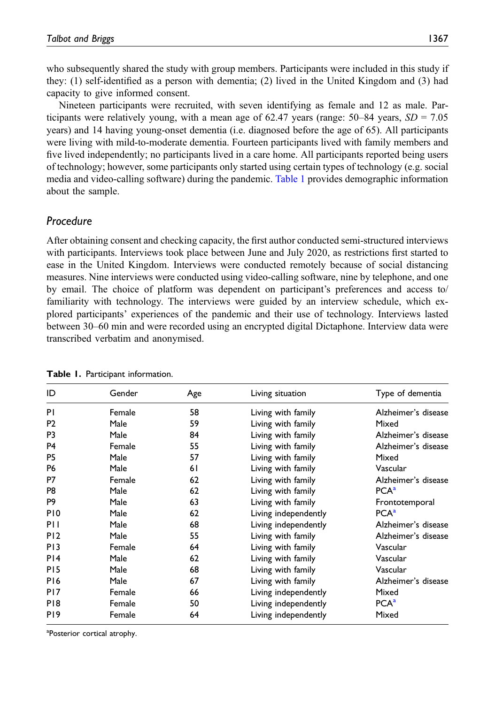who subsequently shared the study with group members. Participants were included in this study if they: (1) self-identified as a person with dementia; (2) lived in the United Kingdom and (3) had capacity to give informed consent.

Nineteen participants were recruited, with seven identifying as female and 12 as male. Participants were relatively young, with a mean age of 62.47 years (range:  $50-84$  years,  $SD = 7.05$ ) years) and 14 having young-onset dementia (i.e. diagnosed before the age of 65). All participants were living with mild-to-moderate dementia. Fourteen participants lived with family members and five lived independently; no participants lived in a care home. All participants reported being users of technology; however, some participants only started using certain types of technology (e.g. social media and video-calling software) during the pandemic. [Table 1](#page-4-0) provides demographic information about the sample.

# Procedure

After obtaining consent and checking capacity, the first author conducted semi-structured interviews with participants. Interviews took place between June and July 2020, as restrictions first started to ease in the United Kingdom. Interviews were conducted remotely because of social distancing measures. Nine interviews were conducted using video-calling software, nine by telephone, and one by email. The choice of platform was dependent on participant's preferences and access to/ familiarity with technology. The interviews were guided by an interview schedule, which explored participants' experiences of the pandemic and their use of technology. Interviews lasted between 30–60 min and were recorded using an encrypted digital Dictaphone. Interview data were transcribed verbatim and anonymised.

| ID              | Gender | Age | Living situation     | Type of dementia    |
|-----------------|--------|-----|----------------------|---------------------|
| PI              | Female | 58  | Living with family   | Alzheimer's disease |
| P <sub>2</sub>  | Male   | 59  | Living with family   | Mixed               |
| P <sub>3</sub>  | Male   | 84  | Living with family   | Alzheimer's disease |
| P <sub>4</sub>  | Female | 55  | Living with family   | Alzheimer's disease |
| P <sub>5</sub>  | Male   | 57  | Living with family   | Mixed               |
| <b>P6</b>       | Male   | 61  | Living with family   | Vascular            |
| P7              | Female | 62  | Living with family   | Alzheimer's disease |
| P <sub>8</sub>  | Male   | 62  | Living with family   | PCA <sup>a</sup>    |
| P <sub>9</sub>  | Male   | 63  | Living with family   | Frontotemporal      |
| P <sub>10</sub> | Male   | 62  | Living independently | PCA <sup>a</sup>    |
| PH              | Male   | 68  | Living independently | Alzheimer's disease |
| P <sub>12</sub> | Male   | 55  | Living with family   | Alzheimer's disease |
| P <sub>13</sub> | Female | 64  | Living with family   | Vascular            |
| PI4             | Male   | 62  | Living with family   | Vascular            |
| P <sub>15</sub> | Male   | 68  | Living with family   | Vascular            |
| P <sub>16</sub> | Male   | 67  | Living with family   | Alzheimer's disease |
| P <sub>17</sub> | Female | 66  | Living independently | Mixed               |
| P <sub>18</sub> | Female | 50  | Living independently | PCA <sup>a</sup>    |
| P <sub>19</sub> | Female | 64  | Living independently | Mixed               |

<span id="page-4-0"></span>

| Table 1. Participant information. |  |  |  |  |
|-----------------------------------|--|--|--|--|
|-----------------------------------|--|--|--|--|

<span id="page-4-1"></span><sup>a</sup>Posterior cortical atrophy.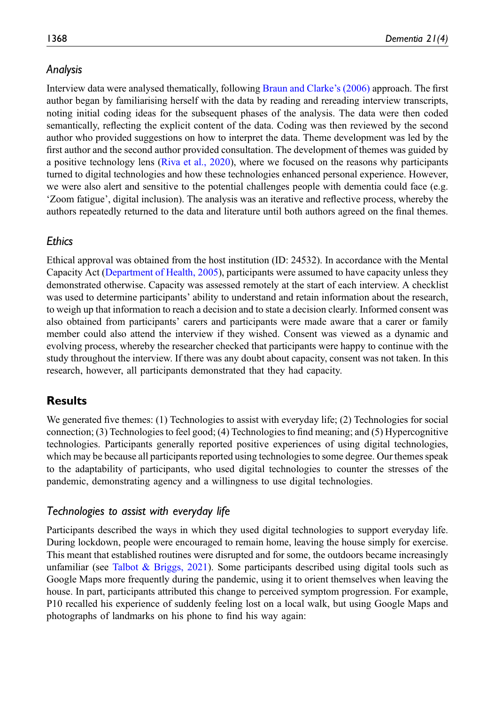# Analysis

Interview data were analysed thematically, following [Braun and Clarke](#page-14-17)'s (2006) approach. The first author began by familiarising herself with the data by reading and rereading interview transcripts, noting initial coding ideas for the subsequent phases of the analysis. The data were then coded semantically, reflecting the explicit content of the data. Coding was then reviewed by the second author who provided suggestions on how to interpret the data. Theme development was led by the first author and the second author provided consultation. The development of themes was guided by a positive technology lens ([Riva et al., 2020](#page-16-10)), where we focused on the reasons why participants turned to digital technologies and how these technologies enhanced personal experience. However, we were also alert and sensitive to the potential challenges people with dementia could face (e.g. 'Zoom fatigue', digital inclusion). The analysis was an iterative and reflective process, whereby the authors repeatedly returned to the data and literature until both authors agreed on the final themes.

### **Ethics**

Ethical approval was obtained from the host institution (ID: 24532). In accordance with the Mental Capacity Act [\(Department of Health, 2005\)](#page-14-18), participants were assumed to have capacity unless they demonstrated otherwise. Capacity was assessed remotely at the start of each interview. A checklist was used to determine participants' ability to understand and retain information about the research, to weigh up that information to reach a decision and to state a decision clearly. Informed consent was also obtained from participants' carers and participants were made aware that a carer or family member could also attend the interview if they wished. Consent was viewed as a dynamic and evolving process, whereby the researcher checked that participants were happy to continue with the study throughout the interview. If there was any doubt about capacity, consent was not taken. In this research, however, all participants demonstrated that they had capacity.

# **Results**

We generated five themes: (1) Technologies to assist with everyday life; (2) Technologies for social connection; (3) Technologies to feel good; (4) Technologies to find meaning; and (5) Hypercognitive technologies. Participants generally reported positive experiences of using digital technologies, which may be because all participants reported using technologies to some degree. Our themes speak to the adaptability of participants, who used digital technologies to counter the stresses of the pandemic, demonstrating agency and a willingness to use digital technologies.

#### Technologies to assist with everyday life

Participants described the ways in which they used digital technologies to support everyday life. During lockdown, people were encouraged to remain home, leaving the house simply for exercise. This meant that established routines were disrupted and for some, the outdoors became increasingly unfamiliar (see Talbot & Briggs,  $2021$ ). Some participants described using digital tools such as Google Maps more frequently during the pandemic, using it to orient themselves when leaving the house. In part, participants attributed this change to perceived symptom progression. For example, P10 recalled his experience of suddenly feeling lost on a local walk, but using Google Maps and photographs of landmarks on his phone to find his way again: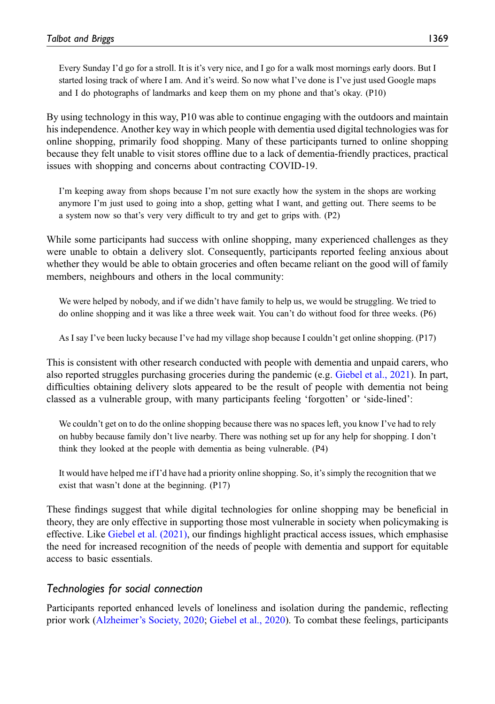Every Sunday I'd go for a stroll. It is it's very nice, and I go for a walk most mornings early doors. But I started losing track of where I am. And it's weird. So now what I've done is I've just used Google maps and I do photographs of landmarks and keep them on my phone and that's okay. (P10)

By using technology in this way, P10 was able to continue engaging with the outdoors and maintain his independence. Another key way in which people with dementia used digital technologies was for online shopping, primarily food shopping. Many of these participants turned to online shopping because they felt unable to visit stores offline due to a lack of dementia-friendly practices, practical issues with shopping and concerns about contracting COVID-19.

I'm keeping away from shops because I'm not sure exactly how the system in the shops are working anymore I'm just used to going into a shop, getting what I want, and getting out. There seems to be a system now so that's very very difficult to try and get to grips with. (P2)

While some participants had success with online shopping, many experienced challenges as they were unable to obtain a delivery slot. Consequently, participants reported feeling anxious about whether they would be able to obtain groceries and often became reliant on the good will of family members, neighbours and others in the local community:

We were helped by nobody, and if we didn't have family to help us, we would be struggling. We tried to do online shopping and it was like a three week wait. You can't do without food for three weeks. (P6)

As I say I've been lucky because I've had my village shop because I couldn't get online shopping. (P17)

This is consistent with other research conducted with people with dementia and unpaid carers, who also reported struggles purchasing groceries during the pandemic (e.g. [Giebel et al., 2021\)](#page-14-16). In part, difficulties obtaining delivery slots appeared to be the result of people with dementia not being classed as a vulnerable group, with many participants feeling 'forgotten' or 'side-lined':

We couldn't get on to do the online shopping because there was no spaces left, you know I've had to rely on hubby because family don't live nearby. There was nothing set up for any help for shopping. I don't think they looked at the people with dementia as being vulnerable. (P4)

It would have helped me if I'd have had a priority online shopping. So, it's simply the recognition that we exist that wasn't done at the beginning. (P17)

These findings suggest that while digital technologies for online shopping may be beneficial in theory, they are only effective in supporting those most vulnerable in society when policymaking is effective. Like [Giebel et al. \(2021\)](#page-14-16), our findings highlight practical access issues, which emphasise the need for increased recognition of the needs of people with dementia and support for equitable access to basic essentials.

# Technologies for social connection

Participants reported enhanced levels of loneliness and isolation during the pandemic, reflecting prior work (Alzheimer'[s Society, 2020;](#page-13-0) [Giebel et al., 2020\)](#page-14-12). To combat these feelings, participants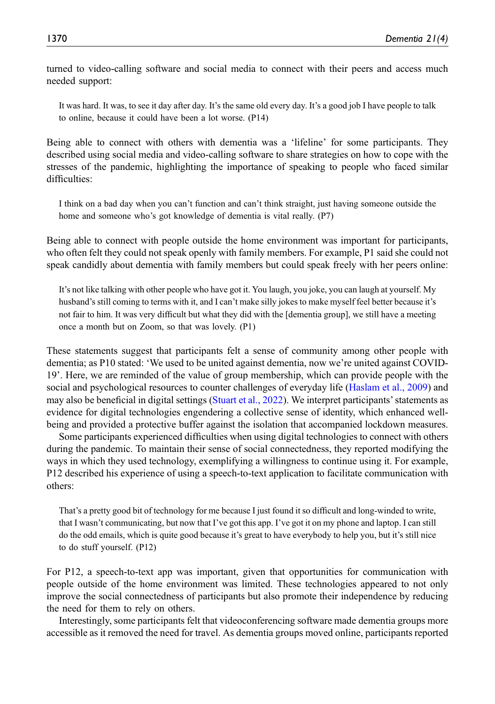turned to video-calling software and social media to connect with their peers and access much needed support:

It was hard. It was, to see it day after day. It's the same old every day. It's a good job I have people to talk to online, because it could have been a lot worse. (P14)

Being able to connect with others with dementia was a 'lifeline' for some participants. They described using social media and video-calling software to share strategies on how to cope with the stresses of the pandemic, highlighting the importance of speaking to people who faced similar difficulties:

I think on a bad day when you can't function and can't think straight, just having someone outside the home and someone who's got knowledge of dementia is vital really. (P7)

Being able to connect with people outside the home environment was important for participants, who often felt they could not speak openly with family members. For example, P1 said she could not speak candidly about dementia with family members but could speak freely with her peers online:

It's not like talking with other people who have got it. You laugh, you joke, you can laugh at yourself. My husband's still coming to terms with it, and I can't make silly jokes to make myself feel better because it's not fair to him. It was very difficult but what they did with the [dementia group], we still have a meeting once a month but on Zoom, so that was lovely. (P1)

These statements suggest that participants felt a sense of community among other people with dementia; as P10 stated: 'We used to be united against dementia, now we're united against COVID-19'. Here, we are reminded of the value of group membership, which can provide people with the social and psychological resources to counter challenges of everyday life ([Haslam et al., 2009](#page-15-12)) and may also be beneficial in digital settings ([Stuart et al., 2022\)](#page-16-16). We interpret participants'statements as evidence for digital technologies engendering a collective sense of identity, which enhanced wellbeing and provided a protective buffer against the isolation that accompanied lockdown measures.

Some participants experienced difficulties when using digital technologies to connect with others during the pandemic. To maintain their sense of social connectedness, they reported modifying the ways in which they used technology, exemplifying a willingness to continue using it. For example, P12 described his experience of using a speech-to-text application to facilitate communication with others:

That's a pretty good bit of technology for me because I just found it so difficult and long-winded to write, that I wasn't communicating, but now that I've got this app. I've got it on my phone and laptop. I can still do the odd emails, which is quite good because it's great to have everybody to help you, but it's still nice to do stuff yourself. (P12)

For P12, a speech-to-text app was important, given that opportunities for communication with people outside of the home environment was limited. These technologies appeared to not only improve the social connectedness of participants but also promote their independence by reducing the need for them to rely on others.

Interestingly, some participants felt that videoconferencing software made dementia groups more accessible as it removed the need for travel. As dementia groups moved online, participants reported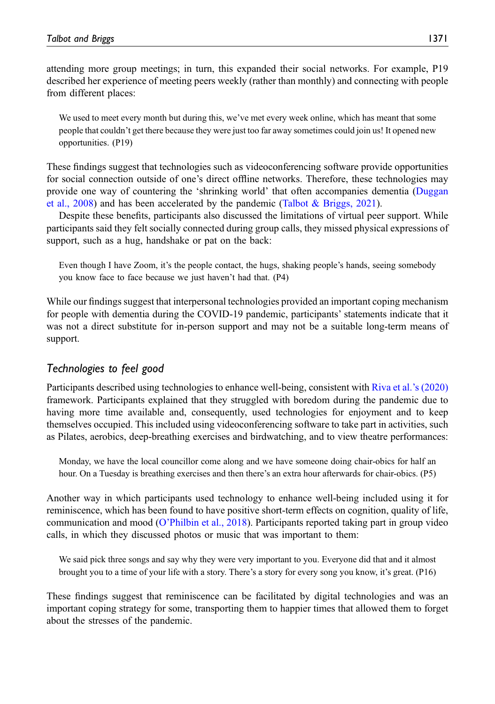attending more group meetings; in turn, this expanded their social networks. For example, P19 described her experience of meeting peers weekly (rather than monthly) and connecting with people from different places:

We used to meet every month but during this, we've met every week online, which has meant that some people that couldn't get there because they were just too far away sometimes could join us! It opened new opportunities. (P19)

These findings suggest that technologies such as videoconferencing software provide opportunities for social connection outside of one's direct offline networks. Therefore, these technologies may provide one way of countering the 'shrinking world' that often accompanies dementia ([Duggan](#page-14-1) [et al., 2008](#page-14-1)) and has been accelerated by the pandemic [\(Talbot & Briggs, 2021\)](#page-16-5).

Despite these benefits, participants also discussed the limitations of virtual peer support. While participants said they felt socially connected during group calls, they missed physical expressions of support, such as a hug, handshake or pat on the back:

Even though I have Zoom, it's the people contact, the hugs, shaking people's hands, seeing somebody you know face to face because we just haven't had that. (P4)

While our findings suggest that interpersonal technologies provided an important coping mechanism for people with dementia during the COVID-19 pandemic, participants' statements indicate that it was not a direct substitute for in-person support and may not be a suitable long-term means of support.

# Technologies to feel good

Participants described using technologies to enhance well-being, consistent with [Riva et al.](#page-16-10)'s (2020) framework. Participants explained that they struggled with boredom during the pandemic due to having more time available and, consequently, used technologies for enjoyment and to keep themselves occupied. This included using videoconferencing software to take part in activities, such as Pilates, aerobics, deep-breathing exercises and birdwatching, and to view theatre performances:

Monday, we have the local councillor come along and we have someone doing chair-obics for half an hour. On a Tuesday is breathing exercises and then there's an extra hour afterwards for chair-obics. (P5)

Another way in which participants used technology to enhance well-being included using it for reminiscence, which has been found to have positive short-term effects on cognition, quality of life, communication and mood (O'[Philbin et al., 2018\)](#page-15-13). Participants reported taking part in group video calls, in which they discussed photos or music that was important to them:

We said pick three songs and say why they were very important to you. Everyone did that and it almost brought you to a time of your life with a story. There's a story for every song you know, it's great. (P16)

These findings suggest that reminiscence can be facilitated by digital technologies and was an important coping strategy for some, transporting them to happier times that allowed them to forget about the stresses of the pandemic.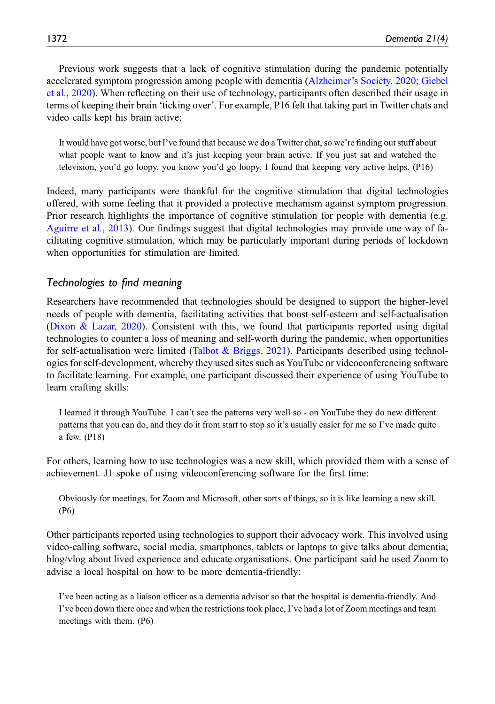Previous work suggests that a lack of cognitive stimulation during the pandemic potentially accelerated symptom progression among people with dementia (Alzheimer'[s Society, 2020](#page-13-0); [Giebel](#page-14-12) [et al., 2020](#page-14-12)). When reflecting on their use of technology, participants often described their usage in terms of keeping their brain 'ticking over'. For example, P16 felt that taking part in Twitter chats and video calls kept his brain active:

It would have got worse, but I've found that because we do a Twitter chat, so we're finding out stuff about what people want to know and it's just keeping your brain active. If you just sat and watched the television, you'd go loopy, you know you'd go loopy. I found that keeping very active helps. (P16)

Indeed, many participants were thankful for the cognitive stimulation that digital technologies offered, with some feeling that it provided a protective mechanism against symptom progression. Prior research highlights the importance of cognitive stimulation for people with dementia (e.g. [Aguirre et al., 2013](#page-13-2)). Our findings suggest that digital technologies may provide one way of facilitating cognitive stimulation, which may be particularly important during periods of lockdown when opportunities for stimulation are limited.

# Technologies to find meaning

Researchers have recommended that technologies should be designed to support the higher-level needs of people with dementia, facilitating activities that boost self-esteem and self-actualisation ([Dixon & Lazar, 2020](#page-14-7)). Consistent with this, we found that participants reported using digital technologies to counter a loss of meaning and self-worth during the pandemic, when opportunities for self-actualisation were limited ([Talbot & Briggs, 2021](#page-16-5)). Participants described using technologies for self-development, whereby they used sites such as YouTube or videoconferencing software to facilitate learning. For example, one participant discussed their experience of using YouTube to learn crafting skills:

I learned it through YouTube. I can't see the patterns very well so - on YouTube they do new different patterns that you can do, and they do it from start to stop so it's usually easier for me so I've made quite a few. (P18)

For others, learning how to use technologies was a new skill, which provided them with a sense of achievement. J1 spoke of using videoconferencing software for the first time:

Obviously for meetings, for Zoom and Microsoft, other sorts of things, so it is like learning a new skill. (P6)

Other participants reported using technologies to support their advocacy work. This involved using video-calling software, social media, smartphones, tablets or laptops to give talks about dementia; blog/vlog about lived experience and educate organisations. One participant said he used Zoom to advise a local hospital on how to be more dementia-friendly:

I've been acting as a liaison officer as a dementia advisor so that the hospital is dementia-friendly. And I've been down there once and when the restrictions took place, I've had a lot of Zoom meetings and team meetings with them. (P6)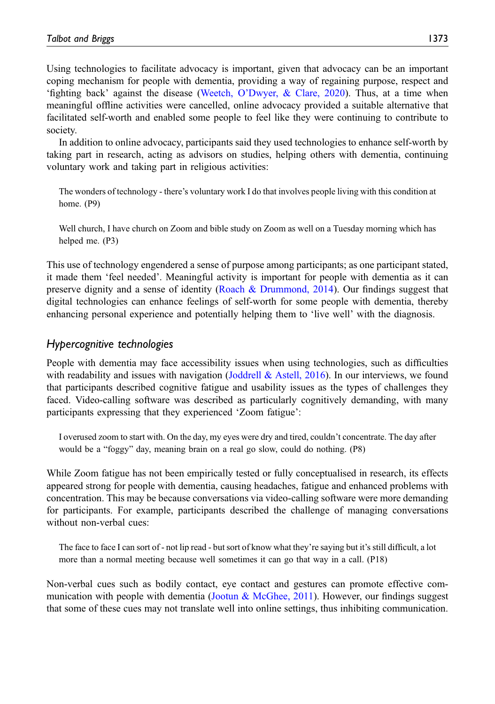Using technologies to facilitate advocacy is important, given that advocacy can be an important coping mechanism for people with dementia, providing a way of regaining purpose, respect and 'fighting back' against the disease (Weetch, O'[Dwyer, & Clare, 2020\)](#page-17-6). Thus, at a time when meaningful offline activities were cancelled, online advocacy provided a suitable alternative that facilitated self-worth and enabled some people to feel like they were continuing to contribute to society.

In addition to online advocacy, participants said they used technologies to enhance self-worth by taking part in research, acting as advisors on studies, helping others with dementia, continuing voluntary work and taking part in religious activities:

The wonders of technology - there's voluntary work I do that involves people living with this condition at home. (P9)

Well church, I have church on Zoom and bible study on Zoom as well on a Tuesday morning which has helped me. (P3)

This use of technology engendered a sense of purpose among participants; as one participant stated, it made them 'feel needed'. Meaningful activity is important for people with dementia as it can preserve dignity and a sense of identity [\(Roach & Drummond, 2014\)](#page-16-2). Our findings suggest that digital technologies can enhance feelings of self-worth for some people with dementia, thereby enhancing personal experience and potentially helping them to 'live well' with the diagnosis.

# Hypercognitive technologies

People with dementia may face accessibility issues when using technologies, such as difficulties with readability and issues with navigation ([Joddrell & Astell, 2016\)](#page-15-5). In our interviews, we found that participants described cognitive fatigue and usability issues as the types of challenges they faced. Video-calling software was described as particularly cognitively demanding, with many participants expressing that they experienced 'Zoom fatigue':

I overused zoom to start with. On the day, my eyes were dry and tired, couldn't concentrate. The day after would be a "foggy" day, meaning brain on a real go slow, could do nothing. (P8)

While Zoom fatigue has not been empirically tested or fully conceptualised in research, its effects appeared strong for people with dementia, causing headaches, fatigue and enhanced problems with concentration. This may be because conversations via video-calling software were more demanding for participants. For example, participants described the challenge of managing conversations without non-verbal cues:

The face to face I can sort of - not lip read - but sort of know what they're saying but it's still difficult, a lot more than a normal meeting because well sometimes it can go that way in a call. (P18)

Non-verbal cues such as bodily contact, eye contact and gestures can promote effective com-munication with people with dementia ([Jootun & McGhee, 2011](#page-15-14)). However, our findings suggest that some of these cues may not translate well into online settings, thus inhibiting communication.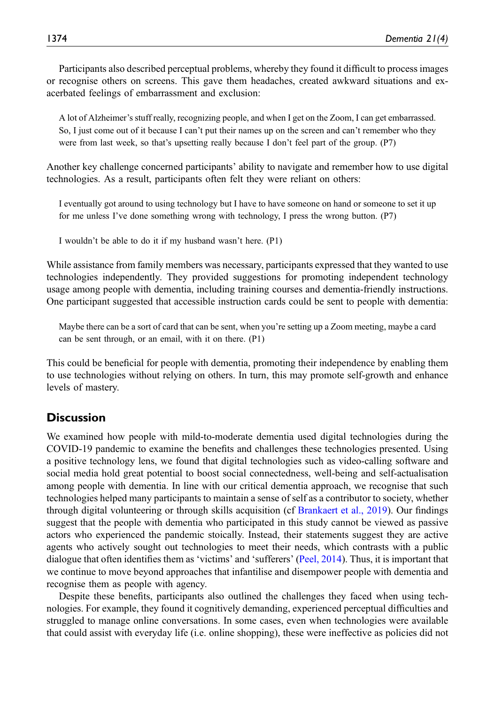Participants also described perceptual problems, whereby they found it difficult to process images or recognise others on screens. This gave them headaches, created awkward situations and exacerbated feelings of embarrassment and exclusion:

A lot of Alzheimer's stuff really, recognizing people, and when I get on the Zoom, I can get embarrassed. So, I just come out of it because I can't put their names up on the screen and can't remember who they were from last week, so that's upsetting really because I don't feel part of the group. (P7)

Another key challenge concerned participants' ability to navigate and remember how to use digital technologies. As a result, participants often felt they were reliant on others:

I eventually got around to using technology but I have to have someone on hand or someone to set it up for me unless I've done something wrong with technology, I press the wrong button. (P7)

I wouldn't be able to do it if my husband wasn't here. (P1)

While assistance from family members was necessary, participants expressed that they wanted to use technologies independently. They provided suggestions for promoting independent technology usage among people with dementia, including training courses and dementia-friendly instructions. One participant suggested that accessible instruction cards could be sent to people with dementia:

Maybe there can be a sort of card that can be sent, when you're setting up a Zoom meeting, maybe a card can be sent through, or an email, with it on there. (P1)

This could be beneficial for people with dementia, promoting their independence by enabling them to use technologies without relying on others. In turn, this may promote self-growth and enhance levels of mastery.

# **Discussion**

We examined how people with mild-to-moderate dementia used digital technologies during the COVID-19 pandemic to examine the benefits and challenges these technologies presented. Using a positive technology lens, we found that digital technologies such as video-calling software and social media hold great potential to boost social connectedness, well-being and self-actualisation among people with dementia. In line with our critical dementia approach, we recognise that such technologies helped many participants to maintain a sense of self as a contributor to society, whether through digital volunteering or through skills acquisition (cf [Brankaert et al., 2019](#page-14-8)). Our findings suggest that the people with dementia who participated in this study cannot be viewed as passive actors who experienced the pandemic stoically. Instead, their statements suggest they are active agents who actively sought out technologies to meet their needs, which contrasts with a public dialogue that often identifies them as 'victims' and 'sufferers' [\(Peel, 2014\)](#page-16-6). Thus, it is important that we continue to move beyond approaches that infantilise and disempower people with dementia and recognise them as people with agency.

Despite these benefits, participants also outlined the challenges they faced when using technologies. For example, they found it cognitively demanding, experienced perceptual difficulties and struggled to manage online conversations. In some cases, even when technologies were available that could assist with everyday life (i.e. online shopping), these were ineffective as policies did not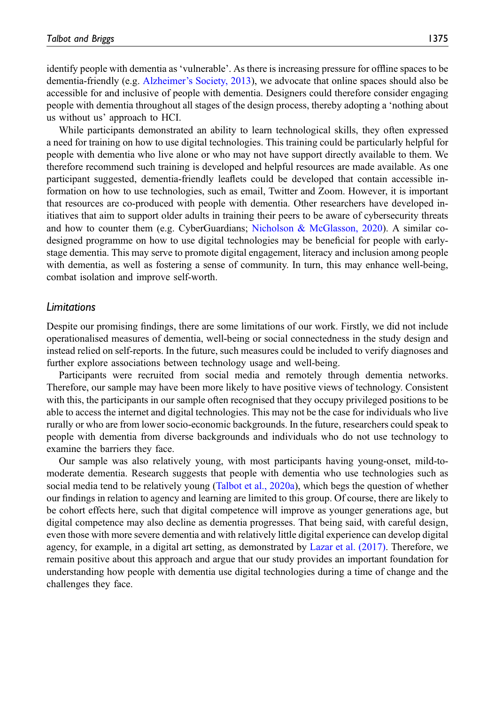identify people with dementia as 'vulnerable'. As there is increasing pressure for offline spaces to be dementia-friendly (e.g. Alzheimer'[s Society, 2013\)](#page-13-1), we advocate that online spaces should also be accessible for and inclusive of people with dementia. Designers could therefore consider engaging people with dementia throughout all stages of the design process, thereby adopting a 'nothing about us without us' approach to HCI.

While participants demonstrated an ability to learn technological skills, they often expressed a need for training on how to use digital technologies. This training could be particularly helpful for people with dementia who live alone or who may not have support directly available to them. We therefore recommend such training is developed and helpful resources are made available. As one participant suggested, dementia-friendly leaflets could be developed that contain accessible information on how to use technologies, such as email, Twitter and Zoom. However, it is important that resources are co-produced with people with dementia. Other researchers have developed initiatives that aim to support older adults in training their peers to be aware of cybersecurity threats and how to counter them (e.g. CyberGuardians; [Nicholson & McGlasson, 2020\)](#page-15-15). A similar codesigned programme on how to use digital technologies may be beneficial for people with earlystage dementia. This may serve to promote digital engagement, literacy and inclusion among people with dementia, as well as fostering a sense of community. In turn, this may enhance well-being, combat isolation and improve self-worth.

#### Limitations

Despite our promising findings, there are some limitations of our work. Firstly, we did not include operationalised measures of dementia, well-being or social connectedness in the study design and instead relied on self-reports. In the future, such measures could be included to verify diagnoses and further explore associations between technology usage and well-being.

Participants were recruited from social media and remotely through dementia networks. Therefore, our sample may have been more likely to have positive views of technology. Consistent with this, the participants in our sample often recognised that they occupy privileged positions to be able to access the internet and digital technologies. This may not be the case for individuals who live rurally or who are from lower socio-economic backgrounds. In the future, researchers could speak to people with dementia from diverse backgrounds and individuals who do not use technology to examine the barriers they face.

Our sample was also relatively young, with most participants having young-onset, mild-tomoderate dementia. Research suggests that people with dementia who use technologies such as social media tend to be relatively young [\(Talbot et al., 2020a\)](#page-16-7), which begs the question of whether our findings in relation to agency and learning are limited to this group. Of course, there are likely to be cohort effects here, such that digital competence will improve as younger generations age, but digital competence may also decline as dementia progresses. That being said, with careful design, even those with more severe dementia and with relatively little digital experience can develop digital agency, for example, in a digital art setting, as demonstrated by [Lazar et al. \(2017\).](#page-15-7) Therefore, we remain positive about this approach and argue that our study provides an important foundation for understanding how people with dementia use digital technologies during a time of change and the challenges they face.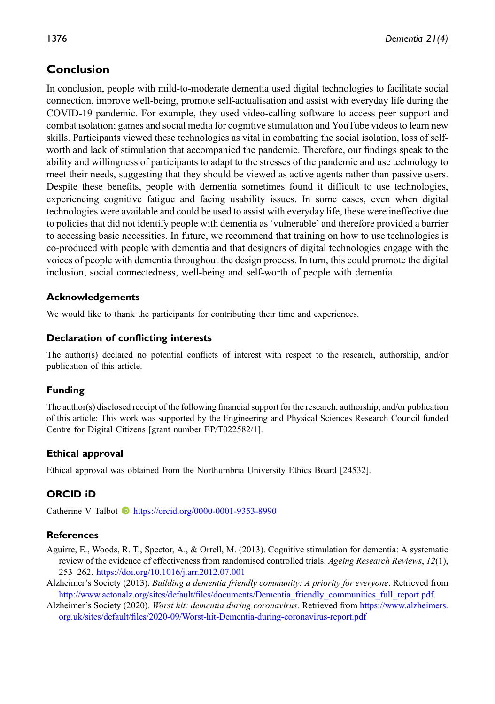# Conclusion

In conclusion, people with mild-to-moderate dementia used digital technologies to facilitate social connection, improve well-being, promote self-actualisation and assist with everyday life during the COVID-19 pandemic. For example, they used video-calling software to access peer support and combat isolation; games and social media for cognitive stimulation and YouTube videos to learn new skills. Participants viewed these technologies as vital in combatting the social isolation, loss of selfworth and lack of stimulation that accompanied the pandemic. Therefore, our findings speak to the ability and willingness of participants to adapt to the stresses of the pandemic and use technology to meet their needs, suggesting that they should be viewed as active agents rather than passive users. Despite these benefits, people with dementia sometimes found it difficult to use technologies, experiencing cognitive fatigue and facing usability issues. In some cases, even when digital technologies were available and could be used to assist with everyday life, these were ineffective due to policies that did not identify people with dementia as 'vulnerable' and therefore provided a barrier to accessing basic necessities. In future, we recommend that training on how to use technologies is co-produced with people with dementia and that designers of digital technologies engage with the voices of people with dementia throughout the design process. In turn, this could promote the digital inclusion, social connectedness, well-being and self-worth of people with dementia.

# Acknowledgements

We would like to thank the participants for contributing their time and experiences.

# Declaration of conflicting interests

The author(s) declared no potential conflicts of interest with respect to the research, authorship, and/or publication of this article.

# Funding

The author(s) disclosed receipt of the following financial support for the research, authorship, and/or publication of this article: This work was supported by the Engineering and Physical Sciences Research Council funded Centre for Digital Citizens [grant number EP/T022582/1].

# Ethical approval

Ethical approval was obtained from the Northumbria University Ethics Board [24532].

# ORCID iD

Catherine V Talbot **b** <https://orcid.org/0000-0001-9353-8990>

# **References**

- <span id="page-13-2"></span>Aguirre, E., Woods, R. T., Spector, A., & Orrell, M. (2013). Cognitive stimulation for dementia: A systematic review of the evidence of effectiveness from randomised controlled trials. Ageing Research Reviews, 12(1), 253–262. <https://doi.org/10.1016/j.arr.2012.07.001>
- <span id="page-13-1"></span>Alzheimer's Society (2013). Building a dementia friendly community: A priority for everyone. Retrieved from http://www.actonalz.org/sites/default/fi[les/documents/Dementia\\_friendly\\_communities\\_full\\_report.pdf](http://www.actonalz.org/sites/default/files/documents/Dementia_friendly_communities_full_report.pdf).
- <span id="page-13-0"></span>Alzheimer's Society (2020). Worst hit: dementia during coronavirus. Retrieved from [https://www.alzheimers.](https://www.alzheimers.org.uk/sites/default/files/2020-09/Worst-hit-Dementia-during-coronavirus-report.pdf) org.uk/sites/default/fi[les/2020-09/Worst-hit-Dementia-during-coronavirus-report.pdf](https://www.alzheimers.org.uk/sites/default/files/2020-09/Worst-hit-Dementia-during-coronavirus-report.pdf)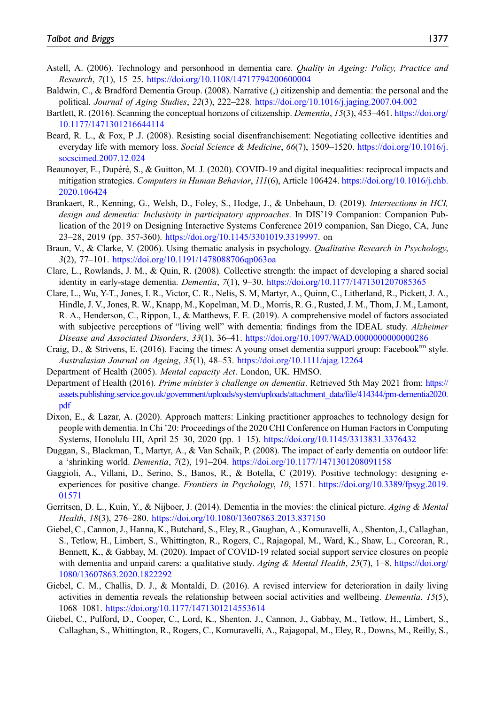- <span id="page-14-6"></span>Astell, A. (2006). Technology and personhood in dementia care. Quality in Ageing: Policy, Practice and Research, 7(1), 15–25. <https://doi.org/10.1108/14717794200600004>
- <span id="page-14-10"></span>Baldwin, C., & Bradford Dementia Group. (2008). Narrative (,) citizenship and dementia: the personal and the political. Journal of Aging Studies, 22(3), 222–228. <https://doi.org/10.1016/j.jaging.2007.04.002>
- <span id="page-14-9"></span>Bartlett, R. (2016). Scanning the conceptual horizons of citizenship. Dementia, 15(3), 453–461. [https://doi.org/](https://doi.org/10.1177/1471301216644114) [10.1177/1471301216644114](https://doi.org/10.1177/1471301216644114)
- <span id="page-14-0"></span>Beard, R. L., & Fox, P .J. (2008). Resisting social disenfranchisement: Negotiating collective identities and everyday life with memory loss. Social Science & Medicine, 66(7), 1509–1520. [https://doi.org/10.1016/j.](https://doi.org/10.1016/j.socscimed.2007.12.024) [socscimed.2007.12.024](https://doi.org/10.1016/j.socscimed.2007.12.024)
- <span id="page-14-11"></span>Beaunoyer, E., Dupéré, S., & Guitton, M. J. (2020). COVID-19 and digital inequalities: reciprocal impacts and mitigation strategies. Computers in Human Behavior, 111(6), Article 106424. [https://doi.org/10.1016/j.chb.](https://doi.org/10.1016/j.chb.2020.106424) [2020.106424](https://doi.org/10.1016/j.chb.2020.106424)
- <span id="page-14-8"></span>Brankaert, R., Kenning, G., Welsh, D., Foley, S., Hodge, J., & Unbehaun, D. (2019). Intersections in HCI, design and dementia: Inclusivity in participatory approaches. In DIS'19 Companion: Companion Publication of the 2019 on Designing Interactive Systems Conference 2019 companion, San Diego, CA, June 23–28, 2019 (pp. 357-360). [https://doi.org/10.1145/3301019.3319997.](https://doi.org/10.1145/3301019.3319997) on
- <span id="page-14-17"></span>Braun, V., & Clarke, V. (2006). Using thematic analysis in psychology. *Qualitative Research in Psychology*. 3(2), 77–101. <https://doi.org/10.1191/1478088706qp063oa>
- <span id="page-14-4"></span>Clare, L., Rowlands, J. M., & Quin, R. (2008). Collective strength: the impact of developing a shared social identity in early-stage dementia. *Dementia*, 7(1), 9–30. <https://doi.org/10.1177/1471301207085365>
- <span id="page-14-13"></span>Clare, L., Wu, Y-T., Jones, I. R., Victor, C. R., Nelis, S. M, Martyr, A., Quinn, C., Litherland, R., Pickett, J. A., Hindle, J. V., Jones, R. W., Knapp, M., Kopelman, M. D., Morris, R. G., Rusted, J. M., Thom, J. M., Lamont, R. A., Henderson, C., Rippon, I., & Matthews, F. E. (2019). A comprehensive model of factors associated with subjective perceptions of "living well" with dementia: findings from the IDEAL study. Alzheimer Disease and Associated Disorders, 33(1), 36–41. <https://doi.org/10.1097/WAD.0000000000000286>
- <span id="page-14-5"></span>Craig, D., & Strivens, E. (2016). Facing the times: A young onset dementia support group: Facebook<sup>tm</sup> style. Australasian Journal on Ageing, 35(1), 48–53. <https://doi.org/10.1111/ajag.12264>
- <span id="page-14-18"></span>Department of Health (2005). Mental capacity Act. London, UK. HMSO.
- <span id="page-14-3"></span>Department of Health (2016). Prime minister's challenge on dementia. Retrieved 5th May 2021 from: [https://](https://assets.publishing.service.gov.uk/government/uploads/system/uploads/attachment_data/file/414344/pm-dementia2020.pdf) [assets.publishing.service.gov.uk/government/uploads/system/uploads/attachment\\_data/](https://assets.publishing.service.gov.uk/government/uploads/system/uploads/attachment_data/file/414344/pm-dementia2020.pdf)file/414344/pm-dementia2020. [pdf](https://assets.publishing.service.gov.uk/government/uploads/system/uploads/attachment_data/file/414344/pm-dementia2020.pdf)
- <span id="page-14-7"></span>Dixon, E., & Lazar, A. (2020). Approach matters: Linking practitioner approaches to technology design for people with dementia. In Chi '20: Proceedings of the 2020 CHI Conference on Human Factors in Computing Systems, Honolulu HI, April 25–30, 2020 (pp. 1–15). <https://doi.org/10.1145/3313831.3376432>
- <span id="page-14-1"></span>Duggan, S., Blackman, T., Martyr, A., & Van Schaik, P. (2008). The impact of early dementia on outdoor life: a 'shrinking world. Dementia, 7(2), 191–204. <https://doi.org/10.1177/1471301208091158>
- <span id="page-14-15"></span>Gaggioli, A., Villani, D., Serino, S., Banos, R., & Botella, C (2019). Positive technology: designing eexperiences for positive change. Frontiers in Psychology, 10, 1571. [https://doi.org/10.3389/fpsyg.2019.](https://doi.org/10.3389/fpsyg.2019.01571) [01571](https://doi.org/10.3389/fpsyg.2019.01571)
- <span id="page-14-2"></span>Gerritsen, D. L., Kuin, Y., & Nijboer, J. (2014). Dementia in the movies: the clinical picture. Aging & Mental Health, 18(3), 276–280. <https://doi.org/10.1080/13607863.2013.837150>
- <span id="page-14-12"></span>Giebel, C., Cannon, J., Hanna, K., Butchard, S., Eley, R., Gaughan, A., Komuravelli, A., Shenton, J., Callaghan, S., Tetlow, H., Limbert, S., Whittington, R., Rogers, C., Rajagopal, M., Ward, K., Shaw, L., Corcoran, R., Bennett, K., & Gabbay, M. (2020). Impact of COVID-19 related social support service closures on people with dementia and unpaid carers: a qualitative study. Aging & Mental Health,  $25(7)$ , 1–8. [https://doi.org/](https://doi.org/1080/13607863.2020.1822292) [1080/13607863.2020.1822292](https://doi.org/1080/13607863.2020.1822292)
- <span id="page-14-14"></span>Giebel, C. M., Challis, D. J., & Montaldi, D. (2016). A revised interview for deterioration in daily living activities in dementia reveals the relationship between social activities and wellbeing. *Dementia*, 15(5), 1068–1081. <https://doi.org/10.1177/1471301214553614>
- <span id="page-14-16"></span>Giebel, C., Pulford, D., Cooper, C., Lord, K., Shenton, J., Cannon, J., Gabbay, M., Tetlow, H., Limbert, S., Callaghan, S., Whittington, R., Rogers, C., Komuravelli, A., Rajagopal, M., Eley, R., Downs, M., Reilly, S.,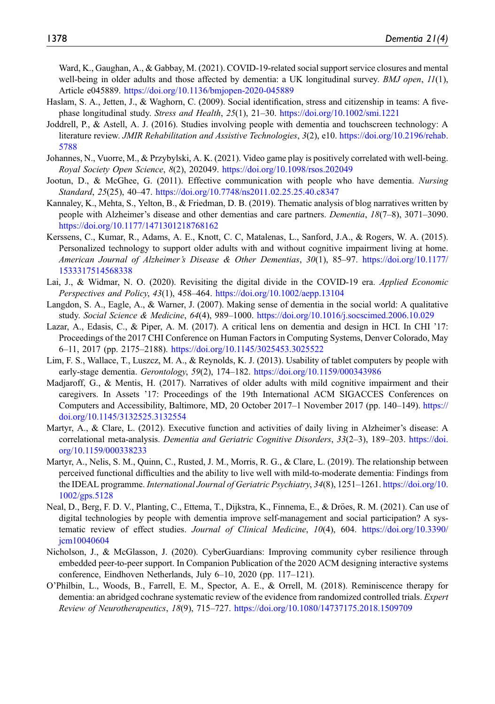Ward, K., Gaughan, A., & Gabbay, M. (2021). COVID-19-related social support service closures and mental well-being in older adults and those affected by dementia: a UK longitudinal survey. *BMJ open*,  $I/(1)$ , Article e045889. <https://doi.org/10.1136/bmjopen-2020-045889>

- <span id="page-15-12"></span>Haslam, S. A., Jetten, J., & Waghorn, C. (2009). Social identification, stress and citizenship in teams: A fivephase longitudinal study. Stress and Health, 25(1), 21–30. <https://doi.org/10.1002/smi.1221>
- <span id="page-15-5"></span>Joddrell, P., & Astell, A. J. (2016). Studies involving people with dementia and touchscreen technology: A literature review. JMIR Rehabilitation and Assistive Technologies, 3(2), e10. [https://doi.org/10.2196/rehab.](https://doi.org/10.2196/rehab.5788) [5788](https://doi.org/10.2196/rehab.5788)
- <span id="page-15-10"></span>Johannes, N., Vuorre, M., & Przybylski, A. K. (2021). Video game play is positively correlated with well-being. Royal Society Open Science, 8(2), 202049. <https://doi.org/10.1098/rsos.202049>
- <span id="page-15-14"></span>Jootun, D., & McGhee, G. (2011). Effective communication with people who have dementia. Nursing Standard, 25(25), 40-47. <https://doi.org/10.7748/ns2011.02.25.25.40.c8347>
- <span id="page-15-3"></span>Kannaley, K., Mehta, S., Yelton, B., & Friedman, D. B. (2019). Thematic analysis of blog narratives written by people with Alzheimer's disease and other dementias and care partners. Dementia, 18(7-8), 3071-3090. <https://doi.org/10.1177/1471301218768162>
- <span id="page-15-6"></span>Kerssens, C., Kumar, R., Adams, A. E., Knott, C. C, Matalenas, L., Sanford, J.A., & Rogers, W. A. (2015). Personalized technology to support older adults with and without cognitive impairment living at home. American Journal of Alzheimer's Disease & Other Dementias, 30(1), 85–97. [https://doi.org/10.1177/](https://doi.org/10.1177/1533317514568338) [1533317514568338](https://doi.org/10.1177/1533317514568338)
- <span id="page-15-11"></span>Lai, J., & Widmar, N. O. (2020). Revisiting the digital divide in the COVID-19 era. Applied Economic Perspectives and Policy, 43(1), 458–464. <https://doi.org/10.1002/aepp.13104>
- <span id="page-15-2"></span>Langdon, S. A., Eagle, A., & Warner, J. (2007). Making sense of dementia in the social world: A qualitative study. Social Science & Medicine, 64(4), 989–1000. <https://doi.org/10.1016/j.socscimed.2006.10.029>
- <span id="page-15-7"></span>Lazar, A., Edasis, C., & Piper, A. M. (2017). A critical lens on dementia and design in HCI. In CHI '17: Proceedings of the 2017 CHI Conference on Human Factors in Computing Systems, Denver Colorado, May 6–11, 2017 (pp. 2175–2188). <https://doi.org/10.1145/3025453.3025522>
- <span id="page-15-4"></span>Lim, F. S., Wallace, T., Luszcz, M. A., & Reynolds, K. J. (2013). Usability of tablet computers by people with early-stage dementia. Gerontology, 59(2), 174–182. <https://doi.org/10.1159/000343986>
- <span id="page-15-8"></span>Madjaroff, G., & Mentis, H. (2017). Narratives of older adults with mild cognitive impairment and their caregivers. In Assets '17: Proceedings of the 19th International ACM SIGACCES Conferences on Computers and Accessibility, Baltimore, MD, 20 October 2017–1 November 2017 (pp. 140–149). [https://](https://doi.org/10.1145/3132525.3132554) [doi.org/10.1145/3132525.3132554](https://doi.org/10.1145/3132525.3132554)
- <span id="page-15-0"></span>Martyr, A., & Clare, L. (2012). Executive function and activities of daily living in Alzheimer's disease: A correlational meta-analysis. Dementia and Geriatric Cognitive Disorders, 33(2–3), 189–203. [https://doi.](https://doi.org/10.1159/000338233) [org/10.1159/000338233](https://doi.org/10.1159/000338233)
- <span id="page-15-1"></span>Martyr, A., Nelis, S. M., Quinn, C., Rusted, J. M., Morris, R. G., & Clare, L. (2019). The relationship between perceived functional difficulties and the ability to live well with mild-to-moderate dementia: Findings from the IDEAL programme. *International Journal of Geriatric Psychiatry*, 34(8), 1251–1261. [https://doi.org/10.](https://doi.org/10.1002/gps.5128) [1002/gps.5128](https://doi.org/10.1002/gps.5128)
- <span id="page-15-9"></span>Neal, D., Berg, F. D. V., Planting, C., Ettema, T., Dijkstra, K., Finnema, E., & Dröes, R. M. (2021). Can use of digital technologies by people with dementia improve self-management and social participation? A systematic review of effect studies. Journal of Clinical Medicine, 10(4), 604. [https://doi.org/10.3390/](https://doi.org/10.3390/jcm10040604) [jcm10040604](https://doi.org/10.3390/jcm10040604)
- <span id="page-15-15"></span>Nicholson, J., & McGlasson, J. (2020). CyberGuardians: Improving community cyber resilience through embedded peer-to-peer support. In Companion Publication of the 2020 ACM designing interactive systems conference, Eindhoven Netherlands, July 6–10, 2020 (pp. 117–121).
- <span id="page-15-13"></span>O'Philbin, L., Woods, B., Farrell, E. M., Spector, A. E., & Orrell, M. (2018). Reminiscence therapy for dementia: an abridged cochrane systematic review of the evidence from randomized controlled trials. Expert Review of Neurotherapeutics, 18(9), 715–727. <https://doi.org/10.1080/14737175.2018.1509709>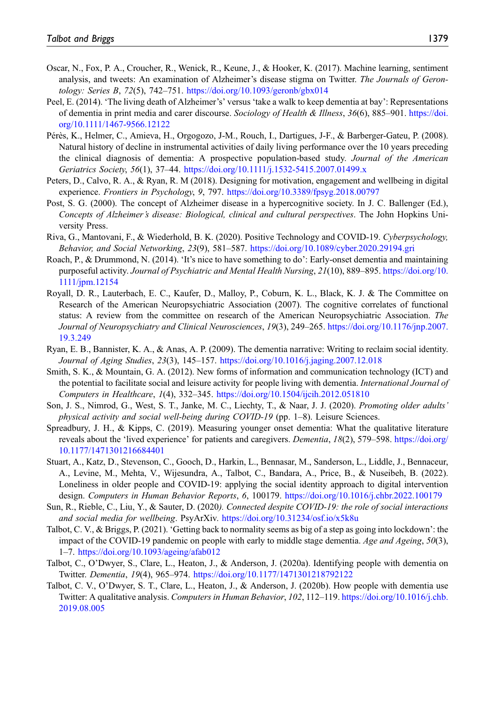- <span id="page-16-14"></span>Oscar, N., Fox, P. A., Croucher, R., Wenick, R., Keune, J., & Hooker, K. (2017). Machine learning, sentiment analysis, and tweets: An examination of Alzheimer's disease stigma on Twitter. The Journals of Gerontology: Series B, 72(5), 742–751. <https://doi.org/10.1093/geronb/gbx014>
- <span id="page-16-6"></span>Peel, E. (2014). 'The living death of Alzheimer's' versus 'take a walk to keep dementia at bay': Representations of dementia in print media and carer discourse. Sociology of Health & Illness, 36(6), 885–901. [https://doi.](https://doi.org/10.1111/1467-9566.12122) [org/10.1111/1467-9566.12122](https://doi.org/10.1111/1467-9566.12122)
- <span id="page-16-1"></span>Pérès, K., Helmer, C., Amieva, H., Orgogozo, J-M., Rouch, I., Dartigues, J-F., & Barberger-Gateu, P. (2008). Natural history of decline in instrumental activities of daily living performance over the 10 years preceding the clinical diagnosis of dementia: A prospective population-based study. Journal of the American Geriatrics Society, 56(1), 37–44. <https://doi.org/10.1111/j.1532-5415.2007.01499.x>
- <span id="page-16-11"></span>Peters, D., Calvo, R. A., & Ryan, R. M (2018). Designing for motivation, engagement and wellbeing in digital experience. Frontiers in Psychology, 9, 797. <https://doi.org/10.3389/fpsyg.2018.00797>
- <span id="page-16-15"></span>Post, S. G. (2000). The concept of Alzheimer disease in a hypercognitive society. In J. C. Ballenger (Ed.), Concepts of Alzheimer's disease: Biological, clinical and cultural perspectives. The John Hopkins University Press.
- <span id="page-16-10"></span>Riva, G., Mantovani, F., & Wiederhold, B. K. (2020). Positive Technology and COVID-19. Cyberpsychology, Behavior, and Social Networking, 23(9), 581–587. <https://doi.org/10.1089/cyber.2020.29194.gri>
- <span id="page-16-2"></span>Roach, P., & Drummond, N. (2014). 'It's nice to have something to do': Early-onset dementia and maintaining purposeful activity. Journal of Psychiatric and Mental Health Nursing, 21(10), 889–895. [https://doi.org/10.](https://doi.org/10.1111/jpm.12154) [1111/jpm.12154](https://doi.org/10.1111/jpm.12154)
- <span id="page-16-0"></span>Royall, D. R., Lauterbach, E. C., Kaufer, D., Malloy, P., Coburn, K. L., Black, K. J. & The Committee on Research of the American Neuropsychiatric Association (2007). The cognitive correlates of functional status: A review from the committee on research of the American Neuropsychiatric Association. The Journal of Neuropsychiatry and Clinical Neurosciences, 19(3), 249–265. [https://doi.org/10.1176/jnp.2007.](https://doi.org/10.1176/jnp.2007.19.3.249) [19.3.249](https://doi.org/10.1176/jnp.2007.19.3.249)
- <span id="page-16-4"></span>Ryan, E. B., Bannister, K. A., & Anas, A. P. (2009). The dementia narrative: Writing to reclaim social identity. Journal of Aging Studies, 23(3), 145–157. <https://doi.org/10.1016/j.jaging.2007.12.018>
- <span id="page-16-9"></span>Smith, S. K., & Mountain, G. A. (2012). New forms of information and communication technology (ICT) and the potential to facilitate social and leisure activity for people living with dementia. International Journal of Computers in Healthcare, 1(4), 332–345. <https://doi.org/10.1504/ijcih.2012.051810>
- <span id="page-16-12"></span>Son, J. S., Nimrod, G., West, S. T., Janke, M. C., Liechty, T., & Naar, J. J. (2020). Promoting older adults' physical activity and social well-being during COVID-19 (pp. 1–8). Leisure Sciences.
- <span id="page-16-3"></span>Spreadbury, J. H., & Kipps, C. (2019). Measuring younger onset dementia: What the qualitative literature reveals about the 'lived experience' for patients and caregivers. Dementia, 18(2), 579–598. [https://doi.org/](https://doi.org/10.1177/1471301216684401) [10.1177/1471301216684401](https://doi.org/10.1177/1471301216684401)
- <span id="page-16-16"></span>Stuart, A., Katz, D., Stevenson, C., Gooch, D., Harkin, L., Bennasar, M., Sanderson, L., Liddle, J., Bennaceur, A., Levine, M., Mehta, V., Wijesundra, A., Talbot, C., Bandara, A., Price, B., & Nuseibeh, B. (2022). Loneliness in older people and COVID-19: applying the social identity approach to digital intervention design. Computers in Human Behavior Reports, 6, 100179. <https://doi.org/10.1016/j.chbr.2022.100179>
- <span id="page-16-13"></span>Sun, R., Rieble, C., Liu, Y., & Sauter, D. (2020). Connected despite COVID-19: the role of social interactions and social media for wellbeing. PsyArXiv. <https://doi.org/10.31234/osf.io/x5k8u>
- <span id="page-16-5"></span>Talbot, C. V., & Briggs, P. (2021). 'Getting back to normality seems as big of a step as going into lockdown': the impact of the COVID-19 pandemic on people with early to middle stage dementia. Age and Ageing, 50(3), 1–7. <https://doi.org/10.1093/ageing/afab012>
- <span id="page-16-7"></span>Talbot, C., O'Dwyer, S., Clare, L., Heaton, J., & Anderson, J. (2020a). Identifying people with dementia on Twitter. Dementia, 19(4), 965–974. <https://doi.org/10.1177/1471301218792122>
- <span id="page-16-8"></span>Talbot, C. V., O'Dwyer, S. T., Clare, L., Heaton, J., & Anderson, J. (2020b). How people with dementia use Twitter: A qualitative analysis. Computers in Human Behavior, 102, 112–119. [https://doi.org/10.1016/j.chb.](https://doi.org/10.1016/j.chb.2019.08.005) [2019.08.005](https://doi.org/10.1016/j.chb.2019.08.005)